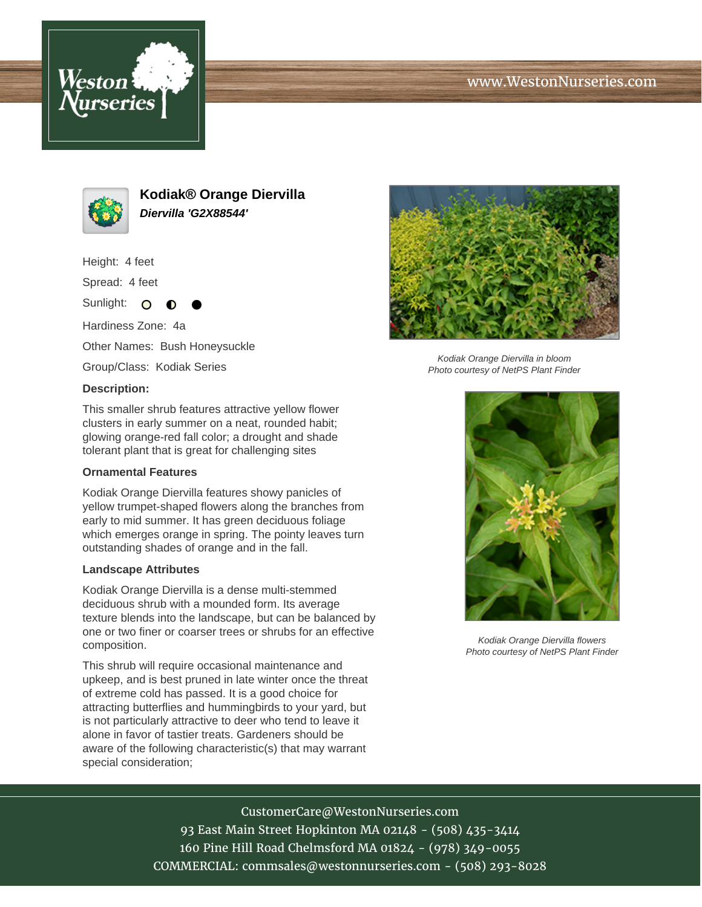





**Kodiak® Orange Diervilla Diervilla 'G2X88544'**

Height: 4 feet

Spread: 4 feet

Sunlight: O Hardiness Zone: 4a Other Names: Bush Honeysuckle

Group/Class: Kodiak Series

#### **Description:**

This smaller shrub features attractive yellow flower clusters in early summer on a neat, rounded habit; glowing orange-red fall color; a drought and shade tolerant plant that is great for challenging sites

### **Ornamental Features**

Kodiak Orange Diervilla features showy panicles of yellow trumpet-shaped flowers along the branches from early to mid summer. It has green deciduous foliage which emerges orange in spring. The pointy leaves turn outstanding shades of orange and in the fall.

### **Landscape Attributes**

Kodiak Orange Diervilla is a dense multi-stemmed deciduous shrub with a mounded form. Its average texture blends into the landscape, but can be balanced by one or two finer or coarser trees or shrubs for an effective composition.

This shrub will require occasional maintenance and upkeep, and is best pruned in late winter once the threat of extreme cold has passed. It is a good choice for attracting butterflies and hummingbirds to your yard, but is not particularly attractive to deer who tend to leave it alone in favor of tastier treats. Gardeners should be aware of the following characteristic(s) that may warrant special consideration;



Kodiak Orange Diervilla in bloom Photo courtesy of NetPS Plant Finder



Kodiak Orange Diervilla flowers Photo courtesy of NetPS Plant Finder

# CustomerCare@WestonNurseries.com

93 East Main Street Hopkinton MA 02148 - (508) 435-3414 160 Pine Hill Road Chelmsford MA 01824 - (978) 349-0055 COMMERCIAL: commsales@westonnurseries.com - (508) 293-8028